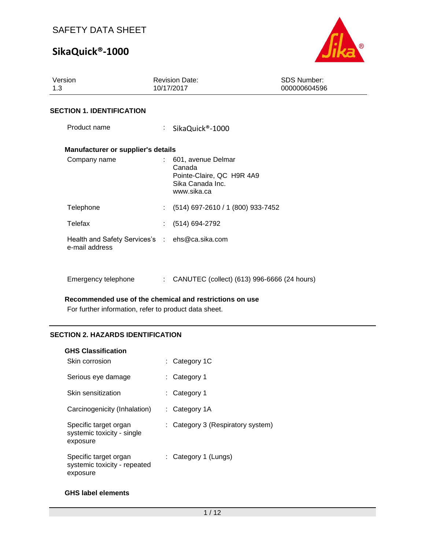# **SikaQuick®-1000**



| Version<br>1.3                                                   | <b>Revision Date:</b><br>10/17/2017                                                          | <b>SDS Number:</b><br>000000604596 |  |  |  |
|------------------------------------------------------------------|----------------------------------------------------------------------------------------------|------------------------------------|--|--|--|
| <b>SECTION 1. IDENTIFICATION</b>                                 |                                                                                              |                                    |  |  |  |
| Product name                                                     | SikaQuick®-1000                                                                              |                                    |  |  |  |
| Manufacturer or supplier's details                               |                                                                                              |                                    |  |  |  |
| Company name                                                     | 601, avenue Delmar<br>Canada<br>Pointe-Claire, QC H9R 4A9<br>Sika Canada Inc.<br>www.sika.ca |                                    |  |  |  |
| Telephone                                                        | $(514)$ 697-2610 / 1 (800) 933-7452                                                          |                                    |  |  |  |
| Telefax                                                          | (514) 694-2792                                                                               |                                    |  |  |  |
| Health and Safety Services's : ehs@ca.sika.com<br>e-mail address |                                                                                              |                                    |  |  |  |
| Emergency telephone                                              | : CANUTEC (collect) (613) 996-6666 (24 hours)                                                |                                    |  |  |  |

#### **Recommended use of the chemical and restrictions on use**

For further information, refer to product data sheet.

## **SECTION 2. HAZARDS IDENTIFICATION**

| <b>GHS Classification</b>                                         |                                   |
|-------------------------------------------------------------------|-----------------------------------|
| Skin corrosion                                                    | $\therefore$ Category 1C          |
| Serious eye damage                                                | : Category 1                      |
| Skin sensitization                                                | : Category 1                      |
| Carcinogenicity (Inhalation)                                      | $:$ Category 1A                   |
| Specific target organ<br>systemic toxicity - single<br>exposure   | : Category 3 (Respiratory system) |
| Specific target organ<br>systemic toxicity - repeated<br>exposure | : Category 1 (Lungs)              |

## **GHS label elements**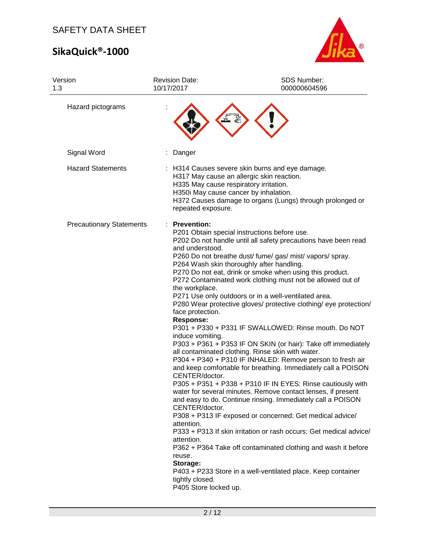# **SikaQuick®-1000**



| Version<br>1.3                  | <b>Revision Date:</b><br>10/17/2017                                                                                                                                                                                                                   | SDS Number:<br>000000604596                                                                                                                                                                                                                                                                                                                                                                                                                                                                                                                                                                                                                                                                                                                                                                                                                                                                                                                                                                                                                                                                                                                                                                                                                                  |
|---------------------------------|-------------------------------------------------------------------------------------------------------------------------------------------------------------------------------------------------------------------------------------------------------|--------------------------------------------------------------------------------------------------------------------------------------------------------------------------------------------------------------------------------------------------------------------------------------------------------------------------------------------------------------------------------------------------------------------------------------------------------------------------------------------------------------------------------------------------------------------------------------------------------------------------------------------------------------------------------------------------------------------------------------------------------------------------------------------------------------------------------------------------------------------------------------------------------------------------------------------------------------------------------------------------------------------------------------------------------------------------------------------------------------------------------------------------------------------------------------------------------------------------------------------------------------|
| Hazard pictograms               |                                                                                                                                                                                                                                                       |                                                                                                                                                                                                                                                                                                                                                                                                                                                                                                                                                                                                                                                                                                                                                                                                                                                                                                                                                                                                                                                                                                                                                                                                                                                              |
| Signal Word                     | Danger                                                                                                                                                                                                                                                |                                                                                                                                                                                                                                                                                                                                                                                                                                                                                                                                                                                                                                                                                                                                                                                                                                                                                                                                                                                                                                                                                                                                                                                                                                                              |
| <b>Hazard Statements</b>        | H335 May cause respiratory irritation.<br>H350i May cause cancer by inhalation.<br>repeated exposure.                                                                                                                                                 | : H314 Causes severe skin burns and eye damage.<br>H317 May cause an allergic skin reaction.<br>H372 Causes damage to organs (Lungs) through prolonged or                                                                                                                                                                                                                                                                                                                                                                                                                                                                                                                                                                                                                                                                                                                                                                                                                                                                                                                                                                                                                                                                                                    |
| <b>Precautionary Statements</b> | <b>Prevention:</b><br>and understood.<br>the workplace.<br>face protection.<br><b>Response:</b><br>induce vomiting.<br>CENTER/doctor.<br>CENTER/doctor.<br>attention.<br>attention.<br>reuse.<br>Storage:<br>tightly closed.<br>P405 Store locked up. | P201 Obtain special instructions before use.<br>P202 Do not handle until all safety precautions have been read<br>P260 Do not breathe dust/ fume/ gas/ mist/ vapors/ spray.<br>P264 Wash skin thoroughly after handling.<br>P270 Do not eat, drink or smoke when using this product.<br>P272 Contaminated work clothing must not be allowed out of<br>P271 Use only outdoors or in a well-ventilated area.<br>P280 Wear protective gloves/ protective clothing/ eye protection/<br>P301 + P330 + P331 IF SWALLOWED: Rinse mouth. Do NOT<br>P303 + P361 + P353 IF ON SKIN (or hair): Take off immediately<br>all contaminated clothing. Rinse skin with water.<br>P304 + P340 + P310 IF INHALED: Remove person to fresh air<br>and keep comfortable for breathing. Immediately call a POISON<br>P305 + P351 + P338 + P310 IF IN EYES: Rinse cautiously with<br>water for several minutes. Remove contact lenses, if present<br>and easy to do. Continue rinsing. Immediately call a POISON<br>P308 + P313 IF exposed or concerned: Get medical advice/<br>P333 + P313 If skin irritation or rash occurs: Get medical advice/<br>P362 + P364 Take off contaminated clothing and wash it before<br>P403 + P233 Store in a well-ventilated place. Keep container |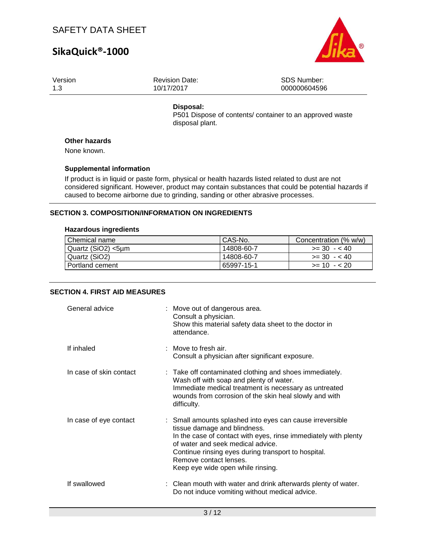# **SikaQuick®-1000**



| Version | <b>Revision Date:</b> | SDS Number:  |
|---------|-----------------------|--------------|
| 1.3     | 10/17/2017            | 000000604596 |
|         |                       |              |

## **Disposal:**

P501 Dispose of contents/ container to an approved waste disposal plant.

## **Other hazards**

None known.

## **Supplemental information**

If product is in liquid or paste form, physical or health hazards listed related to dust are not considered significant. However, product may contain substances that could be potential hazards if caused to become airborne due to grinding, sanding or other abrasive processes.

### **SECTION 3. COMPOSITION/INFORMATION ON INGREDIENTS**

### **Hazardous ingredients**

| Chemical name      | CAS-No.    | Concentration (% w/w) |
|--------------------|------------|-----------------------|
| Quartz (SiO2) <5um | 14808-60-7 | $>=$ 30 $-$ < 40      |
| Quartz (SiO2)      | 14808-60-7 | $>= 30 - 40$          |
| I Portland cement  | 65997-15-1 | $>= 10 - 20$          |

## **SECTION 4. FIRST AID MEASURES**

| General advice          | : Move out of dangerous area.<br>Consult a physician.<br>Show this material safety data sheet to the doctor in<br>attendance.                                                                                                                                                                                           |
|-------------------------|-------------------------------------------------------------------------------------------------------------------------------------------------------------------------------------------------------------------------------------------------------------------------------------------------------------------------|
| If inhaled              | $\therefore$ Move to fresh air.<br>Consult a physician after significant exposure.                                                                                                                                                                                                                                      |
| In case of skin contact | : Take off contaminated clothing and shoes immediately.<br>Wash off with soap and plenty of water.<br>Immediate medical treatment is necessary as untreated<br>wounds from corrosion of the skin heal slowly and with<br>difficulty.                                                                                    |
| In case of eye contact  | : Small amounts splashed into eyes can cause irreversible<br>tissue damage and blindness.<br>In the case of contact with eyes, rinse immediately with plenty<br>of water and seek medical advice.<br>Continue rinsing eyes during transport to hospital.<br>Remove contact lenses.<br>Keep eye wide open while rinsing. |
| If swallowed            | : Clean mouth with water and drink afterwards plenty of water.<br>Do not induce vomiting without medical advice.                                                                                                                                                                                                        |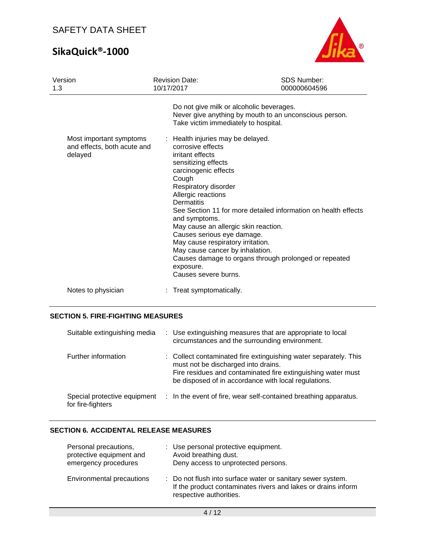# **SikaQuick®-1000**



| Version<br>1.3                         | <b>Revision Date:</b><br>10/17/2017                                                                                                                                                                                                                                                                                                                           | <b>SDS Number:</b><br>000000604596                                                                                      |
|----------------------------------------|---------------------------------------------------------------------------------------------------------------------------------------------------------------------------------------------------------------------------------------------------------------------------------------------------------------------------------------------------------------|-------------------------------------------------------------------------------------------------------------------------|
| Most important symptoms                | Do not give milk or alcoholic beverages.<br>Take victim immediately to hospital.<br>: Health injuries may be delayed.                                                                                                                                                                                                                                         | Never give anything by mouth to an unconscious person.                                                                  |
| and effects, both acute and<br>delayed | corrosive effects<br>irritant effects<br>sensitizing effects<br>carcinogenic effects<br>Cough<br>Respiratory disorder<br>Allergic reactions<br>Dermatitis<br>and symptoms.<br>May cause an allergic skin reaction.<br>Causes serious eye damage.<br>May cause respiratory irritation.<br>May cause cancer by inhalation.<br>exposure.<br>Causes severe burns. | See Section 11 for more detailed information on health effects<br>Causes damage to organs through prolonged or repeated |
| Notes to physician                     | : Treat symptomatically.                                                                                                                                                                                                                                                                                                                                      |                                                                                                                         |

## **SECTION 5. FIRE-FIGHTING MEASURES**

| Suitable extinguishing media                      | : Use extinguishing measures that are appropriate to local<br>circumstances and the surrounding environment.                                                                                                                    |
|---------------------------------------------------|---------------------------------------------------------------------------------------------------------------------------------------------------------------------------------------------------------------------------------|
| Further information                               | : Collect contaminated fire extinguishing water separately. This<br>must not be discharged into drains.<br>Fire residues and contaminated fire extinguishing water must<br>be disposed of in accordance with local regulations. |
| Special protective equipment<br>for fire-fighters | : In the event of fire, wear self-contained breathing apparatus.                                                                                                                                                                |

## **SECTION 6. ACCIDENTAL RELEASE MEASURES**

| Personal precautions,<br>protective equipment and<br>emergency procedures | : Use personal protective equipment.<br>Avoid breathing dust.<br>Deny access to unprotected persons.                                                    |  |  |
|---------------------------------------------------------------------------|---------------------------------------------------------------------------------------------------------------------------------------------------------|--|--|
| <b>Environmental precautions</b>                                          | : Do not flush into surface water or sanitary sewer system.<br>If the product contaminates rivers and lakes or drains inform<br>respective authorities. |  |  |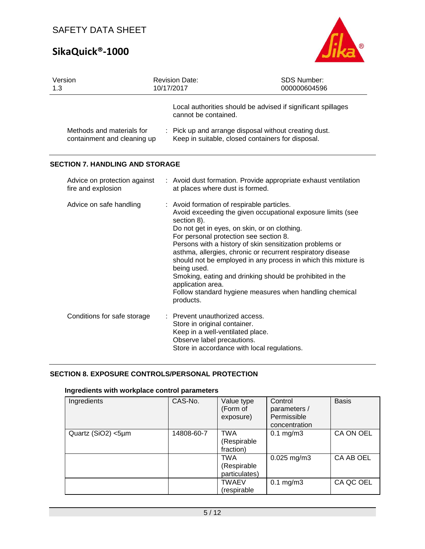# **SikaQuick®-1000**



| Version<br>1.3                                           |  | <b>SDS Number:</b><br><b>Revision Date:</b><br>10/17/2017<br>000000604596                                                                            |                                                                                                                                                                                                                                                                                                                                                                                                                                 |  |  |
|----------------------------------------------------------|--|------------------------------------------------------------------------------------------------------------------------------------------------------|---------------------------------------------------------------------------------------------------------------------------------------------------------------------------------------------------------------------------------------------------------------------------------------------------------------------------------------------------------------------------------------------------------------------------------|--|--|
|                                                          |  | cannot be contained.                                                                                                                                 | Local authorities should be advised if significant spillages                                                                                                                                                                                                                                                                                                                                                                    |  |  |
| Methods and materials for<br>containment and cleaning up |  |                                                                                                                                                      | : Pick up and arrange disposal without creating dust.<br>Keep in suitable, closed containers for disposal.                                                                                                                                                                                                                                                                                                                      |  |  |
| <b>SECTION 7. HANDLING AND STORAGE</b>                   |  |                                                                                                                                                      |                                                                                                                                                                                                                                                                                                                                                                                                                                 |  |  |
| Advice on protection against<br>fire and explosion       |  | at places where dust is formed.                                                                                                                      | : Avoid dust formation. Provide appropriate exhaust ventilation                                                                                                                                                                                                                                                                                                                                                                 |  |  |
| Advice on safe handling                                  |  | : Avoid formation of respirable particles.<br>section 8).<br>For personal protection see section 8.<br>being used.<br>application area.<br>products. | Avoid exceeding the given occupational exposure limits (see<br>Do not get in eyes, on skin, or on clothing.<br>Persons with a history of skin sensitization problems or<br>asthma, allergies, chronic or recurrent respiratory disease<br>should not be employed in any process in which this mixture is<br>Smoking, eating and drinking should be prohibited in the<br>Follow standard hygiene measures when handling chemical |  |  |
| Conditions for safe storage                              |  | : Prevent unauthorized access.<br>Store in original container.<br>Keep in a well-ventilated place.<br>Observe label precautions.                     | Store in accordance with local regulations.                                                                                                                                                                                                                                                                                                                                                                                     |  |  |

## **SECTION 8. EXPOSURE CONTROLS/PERSONAL PROTECTION**

## **Ingredients with workplace control parameters**

| Ingredients        | CAS-No.    | Value type<br>(Form of<br>exposure)        | Control<br>parameters /<br>Permissible<br>concentration | <b>Basis</b> |
|--------------------|------------|--------------------------------------------|---------------------------------------------------------|--------------|
| Quartz (SiO2) <5µm | 14808-60-7 | <b>TWA</b><br>(Respirable<br>fraction)     | $0.1$ mg/m $3$                                          | CA ON OEL    |
|                    |            | <b>TWA</b><br>(Respirable<br>particulates) | $0.025$ mg/m3                                           | CA AB OEL    |
|                    |            | <b>TWAEV</b><br>respirable                 | $0.1$ mg/m $3$                                          | CA QC OEL    |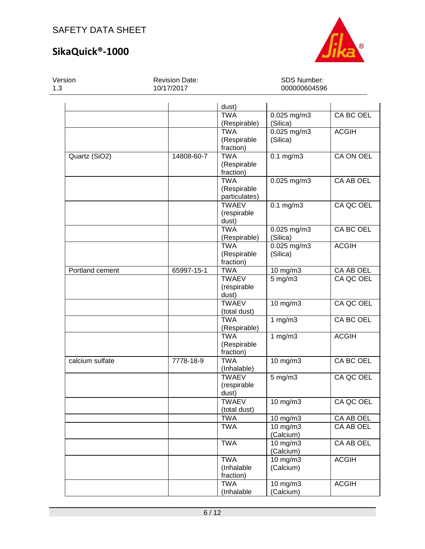## **SikaQuick®-1000**



Version 1.3 Revision Date: 10/17/2017 SDS Number: 000000604596 dust) TWA (Respirable) 0.025 mg/m3 (Silica) CA BC OEL TWA (Respirable fraction) 0.025 mg/m3 (Silica) ACGIH Quartz (SiO2) 14808-60-7 TWA (Respirable fraction) 0.1 mg/m3 CA ON OEL TWA (Respirable particulates) 0.025 mg/m3 CA AB OEL **TWAEV** (respirable dust) 0.1 mg/m3 CA QC OEL TWA (Respirable) 0.025 mg/m3 (Silica) CA BC OEL TWA (Respirable fraction) 0.025 mg/m3 (Silica) ACGIH Portland cement 65997-15-1 TWA 10 mg/m3 CA AB OEL **TWAEV** (respirable dust) 5 mg/m3 CA QC OEL **TWAEV** (total dust) 10 mg/m3 CA QC OEL TWA (Respirable) 1 mg/m3 CA BC OEL TWA (Respirable fraction) 1 mg/m3 ACGIH calcium sulfate  $\vert$  7778-18-9 TWA (Inhalable) 10 mg/m3 CA BC OEL **TWAEV** (respirable dust) 5 mg/m3 CA QC OEL **TWAEV** (total dust) 10 mg/m3 CA QC OEL TWA | 10 mg/m3 | CA AB OEL TWA 10 mg/m3 (Calcium) CA AB OEL TWA 10 mg/m3 (Calcium) CA AB OEL TWA (Inhalable fraction) 10 mg/m3 (Calcium) ACGIH TWA (Inhalable 10 mg/m3 (Calcium) ACGIH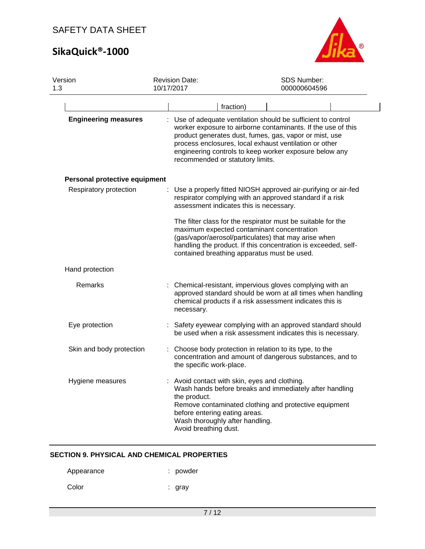# **SikaQuick®-1000**



| Version<br>1.3 |                               | <b>Revision Date:</b><br>10/17/2017                                    | <b>SDS Number:</b><br>000000604596                                                                                                                                                                                                                                                                                                              |
|----------------|-------------------------------|------------------------------------------------------------------------|-------------------------------------------------------------------------------------------------------------------------------------------------------------------------------------------------------------------------------------------------------------------------------------------------------------------------------------------------|
|                |                               |                                                                        | fraction)                                                                                                                                                                                                                                                                                                                                       |
|                | <b>Engineering measures</b>   |                                                                        | : Use of adequate ventilation should be sufficient to control<br>worker exposure to airborne contaminants. If the use of this<br>product generates dust, fumes, gas, vapor or mist, use<br>process enclosures, local exhaust ventilation or other<br>engineering controls to keep worker exposure below any<br>recommended or statutory limits. |
|                | Personal protective equipment |                                                                        |                                                                                                                                                                                                                                                                                                                                                 |
|                | Respiratory protection        |                                                                        | : Use a properly fitted NIOSH approved air-purifying or air-fed<br>respirator complying with an approved standard if a risk<br>assessment indicates this is necessary.                                                                                                                                                                          |
|                |                               |                                                                        | The filter class for the respirator must be suitable for the<br>maximum expected contaminant concentration<br>(gas/vapor/aerosol/particulates) that may arise when<br>handling the product. If this concentration is exceeded, self-<br>contained breathing apparatus must be used.                                                             |
|                | Hand protection               |                                                                        |                                                                                                                                                                                                                                                                                                                                                 |
|                | Remarks                       | necessary.                                                             | : Chemical-resistant, impervious gloves complying with an<br>approved standard should be worn at all times when handling<br>chemical products if a risk assessment indicates this is                                                                                                                                                            |
|                | Eye protection                |                                                                        | Safety eyewear complying with an approved standard should<br>be used when a risk assessment indicates this is necessary.                                                                                                                                                                                                                        |
|                | Skin and body protection      | the specific work-place.                                               | Choose body protection in relation to its type, to the<br>concentration and amount of dangerous substances, and to                                                                                                                                                                                                                              |
|                | Hygiene measures              | the product.<br>before entering eating areas.<br>Avoid breathing dust. | Avoid contact with skin, eyes and clothing.<br>Wash hands before breaks and immediately after handling<br>Remove contaminated clothing and protective equipment<br>Wash thoroughly after handling.                                                                                                                                              |

## **SECTION 9. PHYSICAL AND CHEMICAL PROPERTIES**

Appearance : powder

Color : gray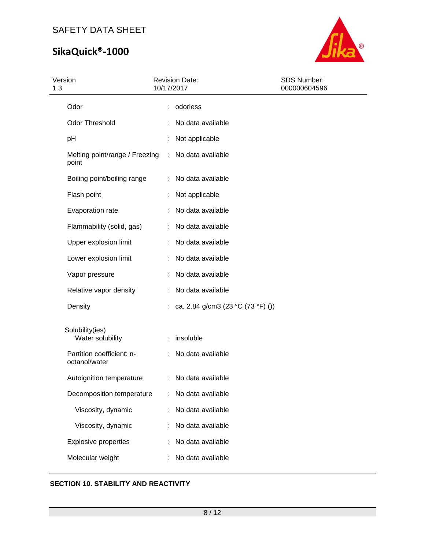# **SikaQuick®-1000**



| Version<br>1.3                             | <b>Revision Date:</b><br>10/17/2017 | SDS Number:<br>000000604596 |
|--------------------------------------------|-------------------------------------|-----------------------------|
| Odor                                       | : odorless                          |                             |
| Odor Threshold                             | No data available                   |                             |
| pH                                         | Not applicable                      |                             |
| Melting point/range / Freezing<br>point    | No data available<br>÷              |                             |
| Boiling point/boiling range                | No data available                   |                             |
| Flash point                                | Not applicable                      |                             |
| Evaporation rate                           | No data available                   |                             |
| Flammability (solid, gas)                  | No data available                   |                             |
| Upper explosion limit                      | No data available                   |                             |
| Lower explosion limit                      | No data available                   |                             |
| Vapor pressure                             | No data available                   |                             |
| Relative vapor density                     | No data available                   |                             |
| Density                                    | : ca. 2.84 g/cm3 (23 °C (73 °F) ()) |                             |
| Solubility(ies)<br>Water solubility        | insoluble<br>÷                      |                             |
| Partition coefficient: n-<br>octanol/water | No data available                   |                             |
| Autoignition temperature                   | : No data available                 |                             |
| Decomposition temperature                  | No data available                   |                             |
| Viscosity, dynamic                         | No data available<br>t              |                             |
| Viscosity, dynamic                         | No data available                   |                             |
| <b>Explosive properties</b>                | No data available                   |                             |
| Molecular weight                           | No data available                   |                             |

## **SECTION 10. STABILITY AND REACTIVITY**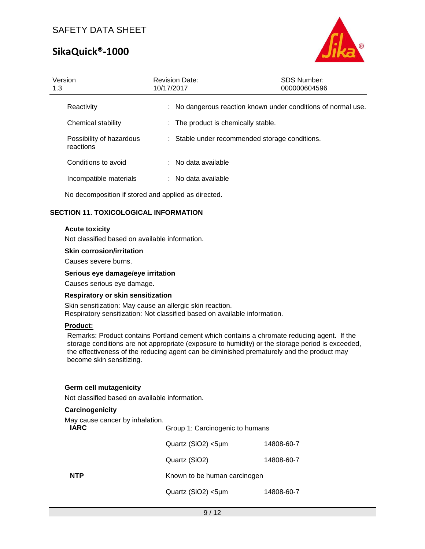# **SikaQuick®-1000**



| Version<br>1.3                                      | <b>Revision Date:</b><br>10/17/2017 | <b>SDS Number:</b><br>000000604596                            |
|-----------------------------------------------------|-------------------------------------|---------------------------------------------------------------|
| Reactivity                                          |                                     | : No dangerous reaction known under conditions of normal use. |
| Chemical stability                                  | : The product is chemically stable. |                                                               |
| Possibility of hazardous<br>reactions               |                                     | : Stable under recommended storage conditions.                |
| Conditions to avoid                                 | : No data available                 |                                                               |
| Incompatible materials                              | : No data available                 |                                                               |
| No decomposition if stored and applied as directed. |                                     |                                                               |

## **SECTION 11. TOXICOLOGICAL INFORMATION**

### **Acute toxicity**

Not classified based on available information.

### **Skin corrosion/irritation**

Causes severe burns.

### **Serious eye damage/eye irritation**

Causes serious eye damage.

#### **Respiratory or skin sensitization**

Skin sensitization: May cause an allergic skin reaction. Respiratory sensitization: Not classified based on available information.

### **Product:**

Remarks: Product contains Portland cement which contains a chromate reducing agent. If the storage conditions are not appropriate (exposure to humidity) or the storage period is exceeded, the effectiveness of the reducing agent can be diminished prematurely and the product may become skin sensitizing.

#### **Germ cell mutagenicity**

Not classified based on available information.

### **Carcinogenicity**

May cause cancer by inhalation.

| <b>IARC</b> | Group 1: Carcinogenic to humans |            |
|-------------|---------------------------------|------------|
|             | Quartz (SiO2) <5µm              | 14808-60-7 |
|             | Quartz (SiO2)                   | 14808-60-7 |
| <b>NTP</b>  | Known to be human carcinogen    |            |
|             | Quartz (SiO2) <5µm              | 14808-60-7 |
|             |                                 |            |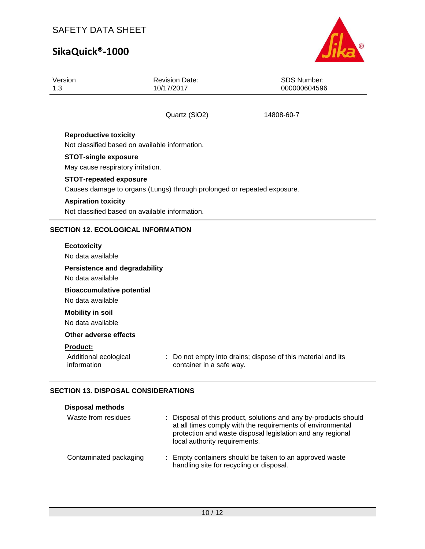# **SikaQuick®-1000**



| Version<br>1.3                                                   | <b>Revision Date:</b><br>10/17/2017                                     | <b>SDS Number:</b><br>000000604596                           |
|------------------------------------------------------------------|-------------------------------------------------------------------------|--------------------------------------------------------------|
|                                                                  | Quartz (SiO2)                                                           | 14808-60-7                                                   |
| <b>Reproductive toxicity</b>                                     | Not classified based on available information.                          |                                                              |
| <b>STOT-single exposure</b><br>May cause respiratory irritation. |                                                                         |                                                              |
| <b>STOT-repeated exposure</b>                                    | Causes damage to organs (Lungs) through prolonged or repeated exposure. |                                                              |
| <b>Aspiration toxicity</b>                                       | Not classified based on available information.                          |                                                              |
| <b>SECTION 12. ECOLOGICAL INFORMATION</b>                        |                                                                         |                                                              |
| <b>Ecotoxicity</b>                                               |                                                                         |                                                              |
| No data available                                                |                                                                         |                                                              |
| <b>Persistence and degradability</b><br>No data available        |                                                                         |                                                              |
| <b>Bioaccumulative potential</b><br>No data available            |                                                                         |                                                              |
| <b>Mobility in soil</b><br>No data available                     |                                                                         |                                                              |
| Other adverse effects                                            |                                                                         |                                                              |
| <b>Product:</b>                                                  |                                                                         |                                                              |
| Additional ecological<br>information                             | container in a safe way.                                                | : Do not empty into drains; dispose of this material and its |

## **SECTION 13. DISPOSAL CONSIDERATIONS**

| <b>Disposal methods</b> |                                                                                                                                                                                                                               |
|-------------------------|-------------------------------------------------------------------------------------------------------------------------------------------------------------------------------------------------------------------------------|
| Waste from residues     | : Disposal of this product, solutions and any by-products should<br>at all times comply with the requirements of environmental<br>protection and waste disposal legislation and any regional<br>local authority requirements. |
| Contaminated packaging  | : Empty containers should be taken to an approved waste<br>handling site for recycling or disposal.                                                                                                                           |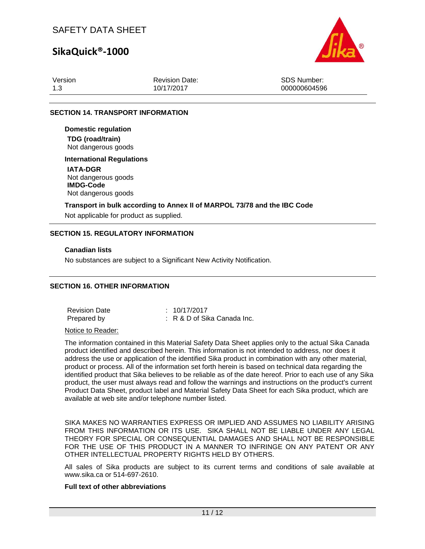## **SikaQuick®-1000**



| Version | <b>Revision Date:</b> | SDS Number:  |
|---------|-----------------------|--------------|
| 1.3     | 10/17/2017            | 000000604596 |

### **SECTION 14. TRANSPORT INFORMATION**

**Domestic regulation TDG (road/train)** Not dangerous goods

#### **International Regulations**

**IATA-DGR** Not dangerous goods **IMDG-Code** Not dangerous goods

### **Transport in bulk according to Annex II of MARPOL 73/78 and the IBC Code**

Not applicable for product as supplied.

### **SECTION 15. REGULATORY INFORMATION**

#### **Canadian lists**

No substances are subject to a Significant New Activity Notification.

## **SECTION 16. OTHER INFORMATION**

Revision Date : 10/17/2017 Prepared by : R & D of Sika Canada Inc.

Notice to Reader:

The information contained in this Material Safety Data Sheet applies only to the actual Sika Canada product identified and described herein. This information is not intended to address, nor does it address the use or application of the identified Sika product in combination with any other material, product or process. All of the information set forth herein is based on technical data regarding the identified product that Sika believes to be reliable as of the date hereof. Prior to each use of any Sika product, the user must always read and follow the warnings and instructions on the product's current Product Data Sheet, product label and Material Safety Data Sheet for each Sika product, which are available at web site and/or telephone number listed.

SIKA MAKES NO WARRANTIES EXPRESS OR IMPLIED AND ASSUMES NO LIABILITY ARISING FROM THIS INFORMATION OR ITS USE. SIKA SHALL NOT BE LIABLE UNDER ANY LEGAL THEORY FOR SPECIAL OR CONSEQUENTIAL DAMAGES AND SHALL NOT BE RESPONSIBLE FOR THE USE OF THIS PRODUCT IN A MANNER TO INFRINGE ON ANY PATENT OR ANY OTHER INTELLECTUAL PROPERTY RIGHTS HELD BY OTHERS.

All sales of Sika products are subject to its current terms and conditions of sale available at www.sika.ca or 514-697-2610.

## **Full text of other abbreviations**